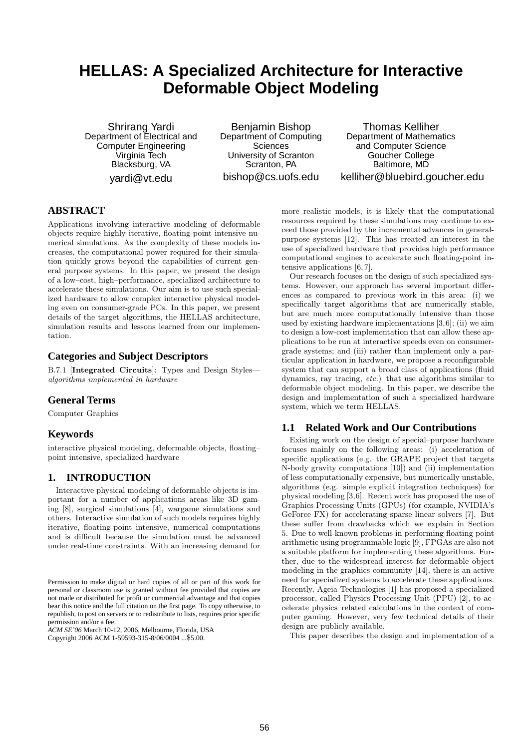# **HELLAS: A Specialized Architecture for Interactive Deformable Object Modeling**

Shrirang Yardi Department of Electrical and Computer Engineering Virginia Tech Blacksburg, VA yardi@vt.edu

Benjamin Bishop Department of Computing **Sciences** University of Scranton Scranton, PA bishop@cs.uofs.edu

Thomas Kelliher Department of Mathematics and Computer Science Goucher College Baltimore, MD kelliher@bluebird.goucher.edu

## **ABSTRACT**

Applications involving interactive modeling of deformable objects require highly iterative, floating-point intensive numerical simulations. As the complexity of these models increases, the computational power required for their simulation quickly grows beyond the capabilities of current general purpose systems. In this paper, we present the design of a low–cost, high–performance, specialized architecture to accelerate these simulations. Our aim is to use such specialized hardware to allow complex interactive physical modeling even on consumer-grade PCs. In this paper, we present details of the target algorithms, the HELLAS architecture, simulation results and lessons learned from our implementation.

## **Categories and Subject Descriptors**

B.7.1 [Integrated Circuits]: Types and Design Styles algorithms implemented in hardware

## **General Terms**

Computer Graphics

## **Keywords**

interactive physical modeling, deformable objects, floating– point intensive, specialized hardware

## **1. INTRODUCTION**

Interactive physical modeling of deformable objects is important for a number of applications areas like 3D gaming [8], surgical simulations [4], wargame simulations and others. Interactive simulation of such models requires highly iterative, floating-point intensive, numerical computations and is difficult because the simulation must be advanced under real-time constraints. With an increasing demand for

*ACM SE'06* March 10-12, 2006, Melbourne, Florida, USA Copyright 2006 ACM 1-59593-315-8/06/0004 ...\$5.00.

more realistic models, it is likely that the computational resources required by these simulations may continue to exceed those provided by the incremental advances in generalpurpose systems [12]. This has created an interest in the use of specialized hardware that provides high performance computational engines to accelerate such floating-point intensive applications [6, 7].

Our research focuses on the design of such specialized systems. However, our approach has several important differences as compared to previous work in this area: (i) we specifically target algorithms that are numerically stable, but are much more computationally intensive than those used by existing hardware implementations [3,6]; (ii) we aim to design a low-cost implementation that can allow these applications to be run at interactive speeds even on consumergrade systems; and (iii) rather than implement only a particular application in hardware, we propose a reconfigurable system that can support a broad class of applications (fluid dynamics, ray tracing, etc.) that use algorithms similar to deformable object modeling. In this paper, we describe the design and implementation of such a specialized hardware system, which we term HELLAS.

## **1.1 Related Work and Our Contributions**

Existing work on the design of special–purpose hardware focuses mainly on the following areas: (i) acceleration of specific applications (e.g. the GRAPE project that targets N-body gravity computations [10]) and (ii) implementation of less computationally expensive, but numerically unstable, algorithms (e.g. simple explicit integration techniques) for physical modeling [3,6]. Recent work has proposed the use of Graphics Processing Units (GPUs) (for example, NVIDIA's GeForce FX) for accelerating sparse linear solvers [7]. But these suffer from drawbacks which we explain in Section 5. Due to well-known problems in performing floating point arithmetic using programmable logic [9], FPGAs are also not a suitable platform for implementing these algorithms. Further, due to the widespread interest for deformable object modeling in the graphics community [14], there is an active need for specialized systems to accelerate these applications. Recently, Ageia Technologies [1] has proposed a specialized processor, called Physics Processing Unit (PPU) [2], to accelerate physics–related calculations in the context of computer gaming. However, very few technical details of their design are publicly available.

This paper describes the design and implementation of a

Permission to make digital or hard copies of all or part of this work for personal or classroom use is granted without fee provided that copies are not made or distributed for profit or commercial advantage and that copies bear this notice and the full citation on the first page. To copy otherwise, to republish, to post on servers or to redistribute to lists, requires prior specific permission and/or a fee.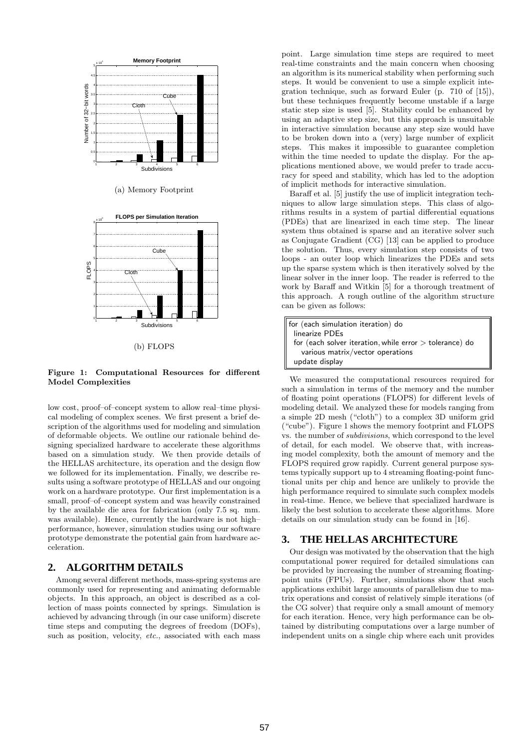

(a) Memory Footprint



(b) FLOPS

Figure 1: Computational Resources for different Model Complexities

low cost, proof–of–concept system to allow real–time physical modeling of complex scenes. We first present a brief description of the algorithms used for modeling and simulation of deformable objects. We outline our rationale behind designing specialized hardware to accelerate these algorithms based on a simulation study. We then provide details of the HELLAS architecture, its operation and the design flow we followed for its implementation. Finally, we describe results using a software prototype of HELLAS and our ongoing work on a hardware prototype. Our first implementation is a small, proof-of-concept system and was heavily constrained by the available die area for fabrication (only 7.5 sq. mm. was available). Hence, currently the hardware is not high– performance, however, simulation studies using our software prototype demonstrate the potential gain from hardware acceleration.

## **2. ALGORITHM DETAILS**

Among several different methods, mass-spring systems are commonly used for representing and animating deformable objects. In this approach, an object is described as a collection of mass points connected by springs. Simulation is achieved by advancing through (in our case uniform) discrete time steps and computing the degrees of freedom (DOFs), such as position, velocity, etc., associated with each mass

point. Large simulation time steps are required to meet real-time constraints and the main concern when choosing an algorithm is its numerical stability when performing such steps. It would be convenient to use a simple explicit integration technique, such as forward Euler (p. 710 of [15]), but these techniques frequently become unstable if a large static step size is used [5]. Stability could be enhanced by using an adaptive step size, but this approach is unsuitable in interactive simulation because any step size would have to be broken down into a (very) large number of explicit steps. This makes it impossible to guarantee completion within the time needed to update the display. For the applications mentioned above, we would prefer to trade accuracy for speed and stability, which has led to the adoption of implicit methods for interactive simulation.

Baraff et al. [5] justify the use of implicit integration techniques to allow large simulation steps. This class of algorithms results in a system of partial differential equations (PDEs) that are linearized in each time step. The linear system thus obtained is sparse and an iterative solver such as Conjugate Gradient (CG) [13] can be applied to produce the solution. Thus, every simulation step consists of two loops - an outer loop which linearizes the PDEs and sets up the sparse system which is then iteratively solved by the linear solver in the inner loop. The reader is referred to the work by Baraff and Witkin [5] for a thorough treatment of this approach. A rough outline of the algorithm structure can be given as follows:

| for (each simulation iteration) do                        |  |
|-----------------------------------------------------------|--|
| linearize PDEs                                            |  |
| for (each solver iteration, while error $>$ tolerance) do |  |
| various matrix/vector operations                          |  |
| update display                                            |  |

We measured the computational resources required for such a simulation in terms of the memory and the number of floating point operations (FLOPS) for different levels of modeling detail. We analyzed these for models ranging from a simple 2D mesh ("cloth") to a complex 3D uniform grid ("cube"). Figure 1 shows the memory footprint and FLOPS vs. the number of subdivisions, which correspond to the level of detail, for each model. We observe that, with increasing model complexity, both the amount of memory and the FLOPS required grow rapidly. Current general purpose systems typically support up to 4 streaming floating-point functional units per chip and hence are unlikely to provide the high performance required to simulate such complex models in real-time. Hence, we believe that specialized hardware is likely the best solution to accelerate these algorithms. More details on our simulation study can be found in [16].

## **3. THE HELLAS ARCHITECTURE**

Our design was motivated by the observation that the high computational power required for detailed simulations can be provided by increasing the number of streaming floatingpoint units (FPUs). Further, simulations show that such applications exhibit large amounts of parallelism due to matrix operations and consist of relatively simple iterations (of the CG solver) that require only a small amount of memory for each iteration. Hence, very high performance can be obtained by distributing computations over a large number of independent units on a single chip where each unit provides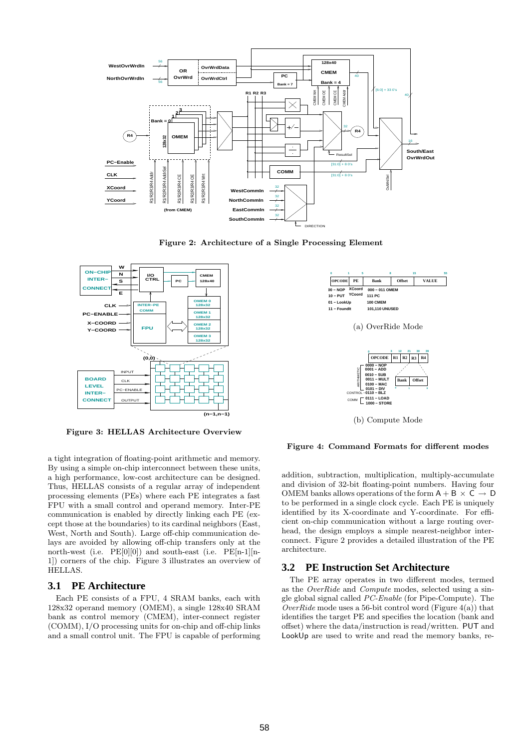

Figure 2: Architecture of a Single Processing Element



Figure 3: HELLAS Architecture Overview

a tight integration of floating-point arithmetic and memory. By using a simple on-chip interconnect between these units, a high performance, low-cost architecture can be designed. Thus, HELLAS consists of a regular array of independent processing elements (PEs) where each PE integrates a fast FPU with a small control and operand memory. Inter-PE communication is enabled by directly linking each PE (except those at the boundaries) to its cardinal neighbors (East, West, North and South). Large off-chip communication delays are avoided by allowing off-chip transfers only at the north-west (i.e. PE[0][0]) and south-east (i.e. PE[n-1][n-1]) corners of the chip. Figure 3 illustrates an overview of HELLAS.

#### **3.1 PE Architecture**

Each PE consists of a FPU, 4 SRAM banks, each with 128x32 operand memory (OMEM), a single 128x40 SRAM bank as control memory (CMEM), inter-connect register (COMM), I/O processing units for on-chip and off-chip links and a small control unit. The FPU is capable of performing



(b) Compute Mode

Figure 4: Command Formats for different modes

addition, subtraction, multiplication, multiply-accumulate and division of 32-bit floating-point numbers. Having four OMEM banks allows operations of the form  $A + B \times C \rightarrow D$ to be performed in a single clock cycle. Each PE is uniquely identified by its X-coordinate and Y-coordinate. For efficient on-chip communication without a large routing overhead, the design employs a simple nearest-neighbor interconnect. Figure 2 provides a detailed illustration of the PE architecture.

#### **3.2 PE Instruction Set Architecture**

The PE array operates in two different modes, termed as the OverRide and Compute modes, selected using a single global signal called PC-Enable (for Pipe-Compute). The OverRide mode uses a 56-bit control word (Figure  $4(a)$ ) that identifies the target PE and specifies the location (bank and offset) where the data/instruction is read/written. PUT and LookUp are used to write and read the memory banks, re-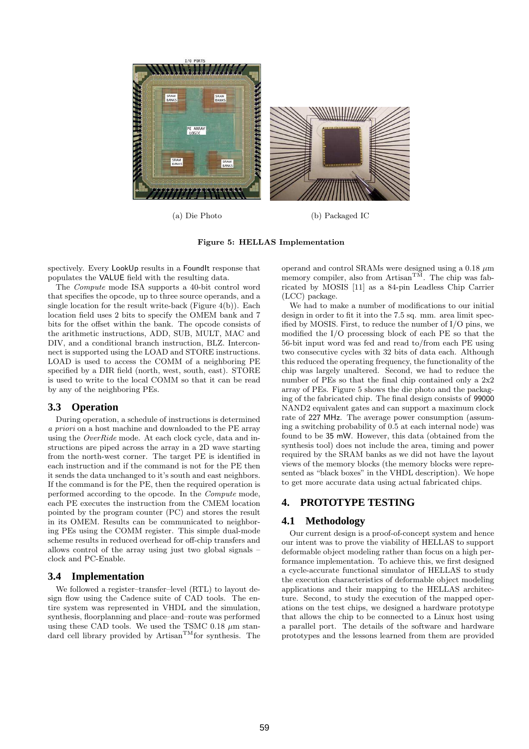

(a) Die Photo (b) Packaged IC

Figure 5: HELLAS Implementation

spectively. Every LookUp results in a FoundIt response that populates the VALUE field with the resulting data.

The Compute mode ISA supports a 40-bit control word that specifies the opcode, up to three source operands, and a single location for the result write-back (Figure 4(b)). Each location field uses 2 bits to specify the OMEM bank and 7 bits for the offset within the bank. The opcode consists of the arithmetic instructions, ADD, SUB, MULT, MAC and DIV, and a conditional branch instruction, BLZ. Interconnect is supported using the LOAD and STORE instructions. LOAD is used to access the COMM of a neighboring PE specified by a DIR field (north, west, south, east). STORE is used to write to the local COMM so that it can be read by any of the neighboring PEs.

## **3.3 Operation**

During operation, a schedule of instructions is determined a priori on a host machine and downloaded to the PE array using the OverRide mode. At each clock cycle, data and instructions are piped across the array in a 2D wave starting from the north-west corner. The target PE is identified in each instruction and if the command is not for the PE then it sends the data unchanged to it's south and east neighbors. If the command is for the PE, then the required operation is performed according to the opcode. In the Compute mode, each PE executes the instruction from the CMEM location pointed by the program counter (PC) and stores the result in its OMEM. Results can be communicated to neighboring PEs using the COMM register. This simple dual-mode scheme results in reduced overhead for off-chip transfers and allows control of the array using just two global signals – clock and PC-Enable.

## **3.4 Implementation**

We followed a register–transfer–level (RTL) to layout design flow using the Cadence suite of CAD tools. The entire system was represented in VHDL and the simulation, synthesis, floorplanning and place–and–route was performed using these CAD tools. We used the TSMC 0.18  $\mu$ m standard cell library provided by Artisan<sup>TM</sup>for synthesis. The

operand and control SRAMs were designed using a  $0.18 \mu m$ memory compiler, also from Artisan<sup>TM</sup>. The chip was fabricated by MOSIS [11] as a 84-pin Leadless Chip Carrier (LCC) package.

We had to make a number of modifications to our initial design in order to fit it into the 7.5 sq. mm. area limit specified by MOSIS. First, to reduce the number of I/O pins, we modified the I/O processing block of each PE so that the 56-bit input word was fed and read to/from each PE using two consecutive cycles with 32 bits of data each. Although this reduced the operating frequency, the functionality of the chip was largely unaltered. Second, we had to reduce the number of PEs so that the final chip contained only a 2x2 array of PEs. Figure 5 shows the die photo and the packaging of the fabricated chip. The final design consists of 99000 NAND2 equivalent gates and can support a maximum clock rate of 227 MHz. The average power consumption (assuming a switching probability of 0.5 at each internal node) was found to be 35 mW. However, this data (obtained from the synthesis tool) does not include the area, timing and power required by the SRAM banks as we did not have the layout views of the memory blocks (the memory blocks were represented as "black boxes" in the VHDL description). We hope to get more accurate data using actual fabricated chips.

## **4. PROTOTYPE TESTING**

## **4.1 Methodology**

Our current design is a proof-of-concept system and hence our intent was to prove the viability of HELLAS to support deformable object modeling rather than focus on a high performance implementation. To achieve this, we first designed a cycle-accurate functional simulator of HELLAS to study the execution characteristics of deformable object modeling applications and their mapping to the HELLAS architecture. Second, to study the execution of the mapped operations on the test chips, we designed a hardware prototype that allows the chip to be connected to a Linux host using a parallel port. The details of the software and hardware prototypes and the lessons learned from them are provided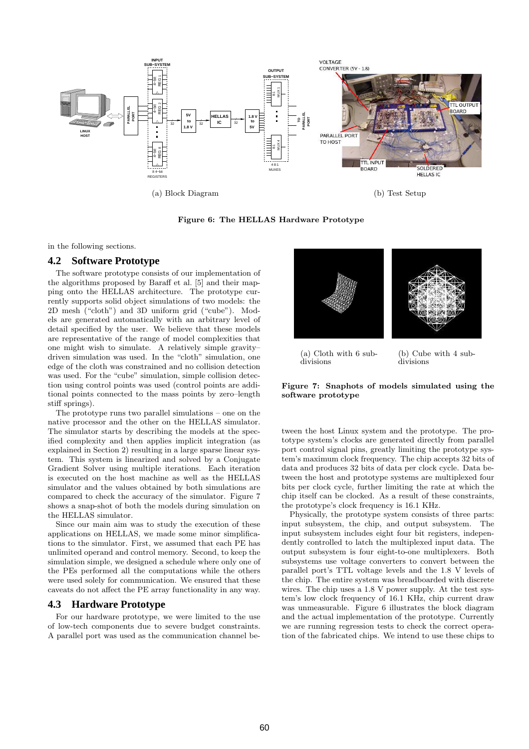

Figure 6: The HELLAS Hardware Prototype

in the following sections.

#### **4.2 Software Prototype**

The software prototype consists of our implementation of the algorithms proposed by Baraff et al. [5] and their mapping onto the HELLAS architecture. The prototype currently supports solid object simulations of two models: the 2D mesh ("cloth") and 3D uniform grid ("cube"). Models are generated automatically with an arbitrary level of detail specified by the user. We believe that these models are representative of the range of model complexities that one might wish to simulate. A relatively simple gravity– driven simulation was used. In the "cloth" simulation, one edge of the cloth was constrained and no collision detection was used. For the "cube" simulation, simple collision detection using control points was used (control points are additional points connected to the mass points by zero–length stiff springs).

The prototype runs two parallel simulations – one on the native processor and the other on the HELLAS simulator. The simulator starts by describing the models at the specified complexity and then applies implicit integration (as explained in Section 2) resulting in a large sparse linear system. This system is linearized and solved by a Conjugate Gradient Solver using multiple iterations. Each iteration is executed on the host machine as well as the HELLAS simulator and the values obtained by both simulations are compared to check the accuracy of the simulator. Figure 7 shows a snap-shot of both the models during simulation on the HELLAS simulator.

Since our main aim was to study the execution of these applications on HELLAS, we made some minor simplifications to the simulator. First, we assumed that each PE has unlimited operand and control memory. Second, to keep the simulation simple, we designed a schedule where only one of the PEs performed all the computations while the others were used solely for communication. We ensured that these caveats do not affect the PE array functionality in any way.

#### **4.3 Hardware Prototype**

For our hardware prototype, we were limited to the use of low-tech components due to severe budget constraints. A parallel port was used as the communication channel be-



(a) Cloth with 6 subdivisions

(b) Cube with 4 subdivisions



tween the host Linux system and the prototype. The prototype system's clocks are generated directly from parallel port control signal pins, greatly limiting the prototype system's maximum clock frequency. The chip accepts 32 bits of data and produces 32 bits of data per clock cycle. Data between the host and prototype systems are multiplexed four bits per clock cycle, further limiting the rate at which the chip itself can be clocked. As a result of these constraints, the prototype's clock frequency is 16.1 KHz.

Physically, the prototype system consists of three parts: input subsystem, the chip, and output subsystem. The input subsystem includes eight four bit registers, independently controlled to latch the multiplexed input data. The output subsystem is four eight-to-one multiplexers. Both subsystems use voltage converters to convert between the parallel port's TTL voltage levels and the 1.8 V levels of the chip. The entire system was breadboarded with discrete wires. The chip uses a 1.8 V power supply. At the test system's low clock frequency of 16.1 KHz, chip current draw was unmeasurable. Figure 6 illustrates the block diagram and the actual implementation of the prototype. Currently we are running regression tests to check the correct operation of the fabricated chips. We intend to use these chips to